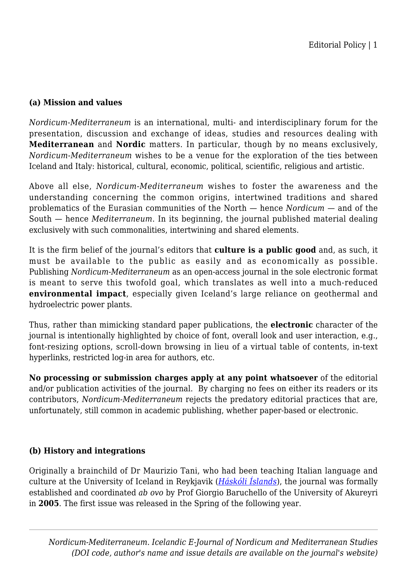## **(a) Mission and values**

*Nordicum-Mediterraneum* is an international, multi- and interdisciplinary forum for the presentation, discussion and exchange of ideas, studies and resources dealing with **Mediterranean** and **Nordic** matters. In particular, though by no means exclusively, *Nordicum-Mediterraneum* wishes to be a venue for the exploration of the ties between Iceland and Italy: historical, cultural, economic, political, scientific, religious and artistic.

Above all else, *Nordicum-Mediterraneum* wishes to foster the awareness and the understanding concerning the common origins, intertwined traditions and shared problematics of the Eurasian communities of the North — hence *Nordicum* — and of the South — hence *Mediterraneum*. In its beginning, the journal published material dealing exclusively with such commonalities, intertwining and shared elements.

It is the firm belief of the journal's editors that **culture is a public good** and, as such, it must be available to the public as easily and as economically as possible. Publishing *Nordicum-Mediterraneum* as an open-access journal in the sole electronic format is meant to serve this twofold goal, which translates as well into a much-reduced **environmental impact**, especially given Iceland's large reliance on geothermal and hydroelectric power plants.

Thus, rather than mimicking standard paper publications, the **electronic** character of the journal is intentionally highlighted by choice of font, overall look and user interaction, e.g., font-resizing options, scroll-down browsing in lieu of a virtual table of contents, in-text hyperlinks, restricted log-in area for authors, etc.

**No processing or submission charges apply at any point whatsoever** of the editorial and/or publication activities of the journal. By charging no fees on either its readers or its contributors, *Nordicum-Mediterraneum* rejects the predatory editorial practices that are, unfortunately, still common in academic publishing, whether paper-based or electronic.

## **(b) History and integrations**

Originally a brainchild of Dr Maurizio Tani, who had been teaching Italian language and culture at the University of Iceland in Reykjavik (*[Háskóli Íslands](https://www.hi.is/)*), the journal was formally established and coordinated *ab ovo* by Prof Giorgio Baruchello of the University of Akureyri in **2005**. The first issue was released in the Spring of the following year.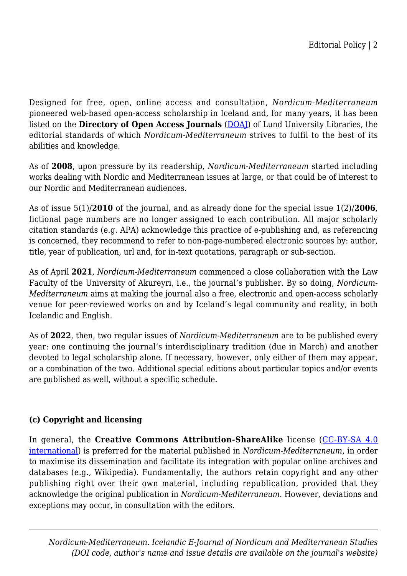Designed for free, open, online access and consultation, *Nordicum-Mediterraneum* pioneered web-based open-access scholarship in Iceland and, for many years, it has been listed on the **Directory of Open Access Journals** ([DOAJ\)](https://www.doaj.org/) of Lund University Libraries, the editorial standards of which *Nordicum-Mediterraneum* strives to fulfil to the best of its abilities and knowledge.

As of **2008**, upon pressure by its readership, *Nordicum-Mediterraneum* started including works dealing with Nordic and Mediterranean issues at large, or that could be of interest to our Nordic and Mediterranean audiences.

As of issue 5(1)/**2010** of the journal, and as already done for the special issue 1(2)/**2006**, fictional page numbers are no longer assigned to each contribution. All major scholarly citation standards (e.g. APA) acknowledge this practice of e-publishing and, as referencing is concerned, they recommend to refer to non-page-numbered electronic sources by: author, title, year of publication, url and, for in-text quotations, paragraph or sub-section.

As of April **2021**, *Nordicum-Mediterraneum* commenced a close collaboration with the Law Faculty of the University of Akureyri, i.e., the journal's publisher. By so doing, *Nordicum-Mediterraneum* aims at making the journal also a free, electronic and open-access scholarly venue for peer-reviewed works on and by Iceland's legal community and reality, in both Icelandic and English.

As of **2022**, then, two regular issues of *Nordicum-Mediterraneum* are to be published every year: one continuing the journal's interdisciplinary tradition (due in March) and another devoted to legal scholarship alone. If necessary, however, only either of them may appear, or a combination of the two. Additional special editions about particular topics and/or events are published as well, without a specific schedule.

## **(c) Copyright and licensing**

In general, the **Creative Commons Attribution-ShareAlike** license ([CC-BY-SA 4.0](https://creativecommons.org/licenses/by-sa/4.0/) [international](https://creativecommons.org/licenses/by-sa/4.0/)) is preferred for the material published in *Nordicum-Mediterraneum*, in order to maximise its dissemination and facilitate its integration with popular online archives and databases (e.g., Wikipedia). Fundamentally, the authors retain copyright and any other publishing right over their own material, including republication, provided that they acknowledge the original publication in *Nordicum-Mediterraneum*. However, deviations and exceptions may occur, in consultation with the editors.